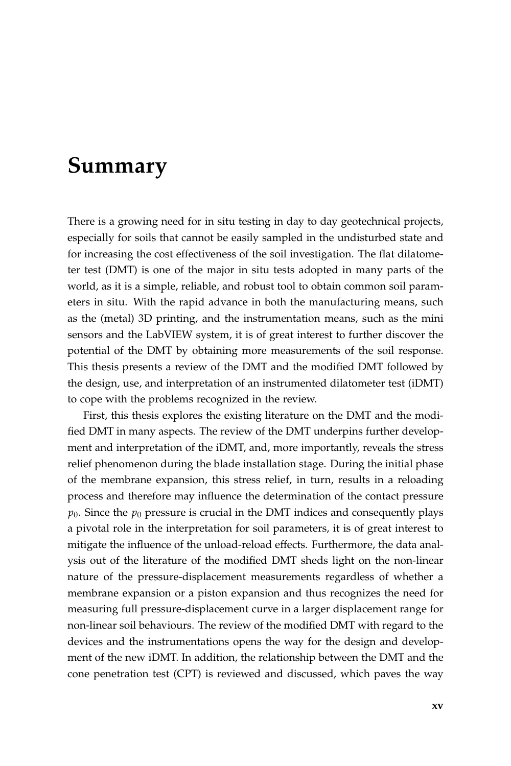## **Summary**

There is a growing need for in situ testing in day to day geotechnical projects, especially for soils that cannot be easily sampled in the undisturbed state and for increasing the cost effectiveness of the soil investigation. The flat dilatometer test (DMT) is one of the major in situ tests adopted in many parts of the world, as it is a simple, reliable, and robust tool to obtain common soil parameters in situ. With the rapid advance in both the manufacturing means, such as the (metal) 3D printing, and the instrumentation means, such as the mini sensors and the LabVIEW system, it is of great interest to further discover the potential of the DMT by obtaining more measurements of the soil response. This thesis presents a review of the DMT and the modified DMT followed by the design, use, and interpretation of an instrumented dilatometer test (iDMT) to cope with the problems recognized in the review.

First, this thesis explores the existing literature on the DMT and the modified DMT in many aspects. The review of the DMT underpins further development and interpretation of the iDMT, and, more importantly, reveals the stress relief phenomenon during the blade installation stage. During the initial phase of the membrane expansion, this stress relief, in turn, results in a reloading process and therefore may influence the determination of the contact pressure  $p_0$ . Since the  $p_0$  pressure is crucial in the DMT indices and consequently plays a pivotal role in the interpretation for soil parameters, it is of great interest to mitigate the influence of the unload-reload effects. Furthermore, the data analysis out of the literature of the modified DMT sheds light on the non-linear nature of the pressure-displacement measurements regardless of whether a membrane expansion or a piston expansion and thus recognizes the need for measuring full pressure-displacement curve in a larger displacement range for non-linear soil behaviours. The review of the modified DMT with regard to the devices and the instrumentations opens the way for the design and development of the new iDMT. In addition, the relationship between the DMT and the cone penetration test (CPT) is reviewed and discussed, which paves the way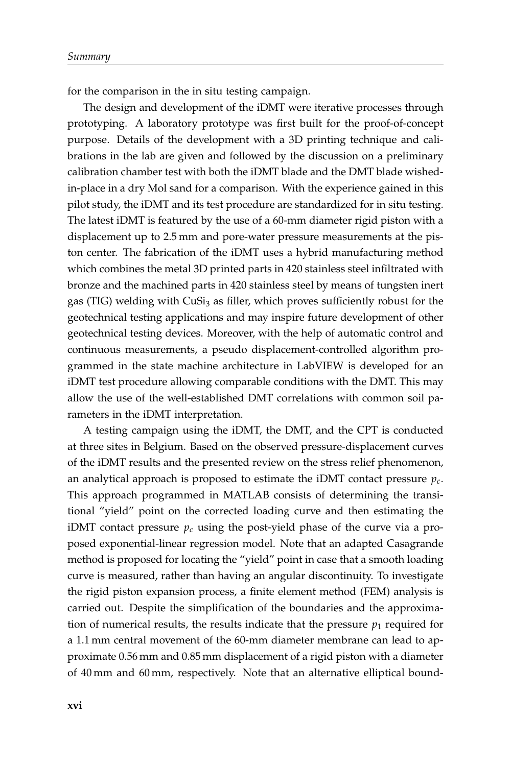for the comparison in the in situ testing campaign.

The design and development of the iDMT were iterative processes through prototyping. A laboratory prototype was first built for the proof-of-concept purpose. Details of the development with a 3D printing technique and calibrations in the lab are given and followed by the discussion on a preliminary calibration chamber test with both the iDMT blade and the DMT blade wishedin-place in a dry Mol sand for a comparison. With the experience gained in this pilot study, the iDMT and its test procedure are standardized for in situ testing. The latest iDMT is featured by the use of a 60-mm diameter rigid piston with a displacement up to 2.5 mm and pore-water pressure measurements at the piston center. The fabrication of the iDMT uses a hybrid manufacturing method which combines the metal 3D printed parts in 420 stainless steel infiltrated with bronze and the machined parts in 420 stainless steel by means of tungsten inert gas (TIG) welding with  $\text{CuSi}_3$  as filler, which proves sufficiently robust for the geotechnical testing applications and may inspire future development of other geotechnical testing devices. Moreover, with the help of automatic control and continuous measurements, a pseudo displacement-controlled algorithm programmed in the state machine architecture in LabVIEW is developed for an iDMT test procedure allowing comparable conditions with the DMT. This may allow the use of the well-established DMT correlations with common soil parameters in the iDMT interpretation.

A testing campaign using the iDMT, the DMT, and the CPT is conducted at three sites in Belgium. Based on the observed pressure-displacement curves of the iDMT results and the presented review on the stress relief phenomenon, an analytical approach is proposed to estimate the iDMT contact pressure *pc*. This approach programmed in MATLAB consists of determining the transitional "yield" point on the corrected loading curve and then estimating the iDMT contact pressure  $p_c$  using the post-yield phase of the curve via a proposed exponential-linear regression model. Note that an adapted Casagrande method is proposed for locating the "yield" point in case that a smooth loading curve is measured, rather than having an angular discontinuity. To investigate the rigid piston expansion process, a finite element method (FEM) analysis is carried out. Despite the simplification of the boundaries and the approximation of numerical results, the results indicate that the pressure  $p_1$  required for a 1.1 mm central movement of the 60-mm diameter membrane can lead to approximate 0.56 mm and 0.85 mm displacement of a rigid piston with a diameter of 40 mm and 60 mm, respectively. Note that an alternative elliptical bound